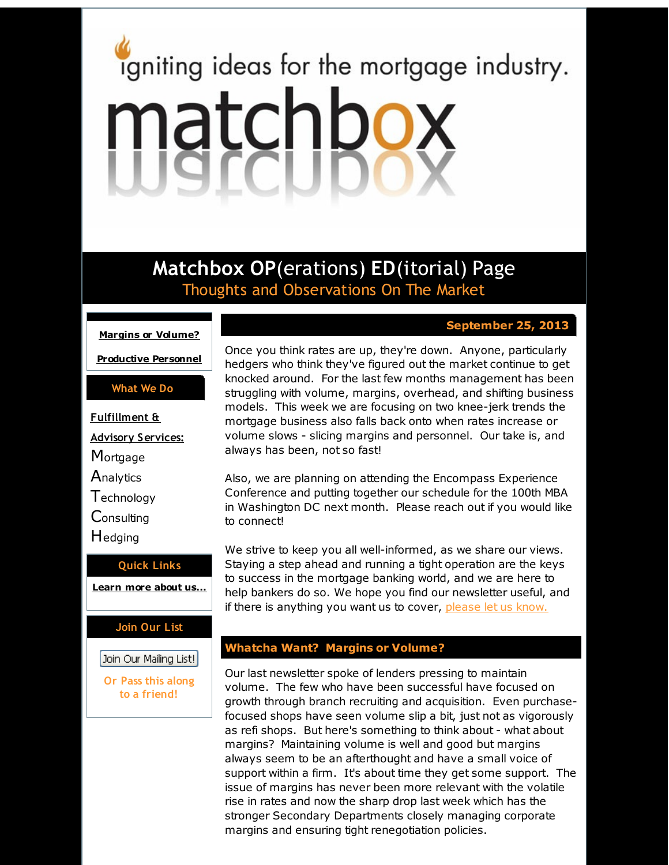# <span id="page-0-0"></span>igniting ideas for the mortgage industry. matchbox

**Matchbox OP**(erations) **ED**(itorial) Page Thoughts and Observations On The Market

**Margins or [Volume?](#page-0-0)**

**[Productive](#page-0-0) Personnel**

**What We Do**

**Fulfillment & Advisory Services: Mortgage Analytics Technology** Consulting **H**edging

**Quick Links [Learn](http://r20.rs6.net/tn.jsp?f=001tWFRAbnvThyPh9SrVqsywOQMyRUO6ipgrVv9XtQyiKK5sLRFpo26JrB4MBTYrbHJfcGBIYITHPsuQ3rKAJVO1n4jk_8saklMCpskLbEs2GOllQ0flLmIyNhxtXsb_jiEZGMzphJ8sES1qB4EKK0h3URBmlYHSGUYGuSoy2MjaJwdhLSAJORnXg==&c=&ch=) more about u[s...](http://r20.rs6.net/tn.jsp?f=001tWFRAbnvThyPh9SrVqsywOQMyRUO6ipgrVv9XtQyiKK5sLRFpo26JrB4MBTYrbHJfcGBIYITHPsuQ3rKAJVO1n4jk_8saklMCpskLbEs2GOllQ0flLmIyNhxtXsb_jiEZGMzphJ8sES1qB4EKK0h3URBmlYHSGUYGuSoy2MjaJwdhLSAJORnXg==&c=&ch=)**

#### **Join Our List**

Join Our Mailing List!

**Or Pass this along to a friend!**

# **September 25, 2013**

Once you think rates are up, they're down. Anyone, particularly hedgers who think they've figured out the market continue to get knocked around. For the last few months management has been struggling with volume, margins, overhead, and shifting business models. This week we are focusing on two knee-jerk trends the mortgage business also falls back onto when rates increase or volume slows - slicing margins and personnel. Our take is, and always has been, not so fast!

Also, we are planning on attending the Encompass Experience Conference and putting together our schedule for the 100th MBA in Washington DC next month. Please reach out if you would like to connect!

We strive to keep you all well-informed, as we share our views. Staying a step ahead and running a tight operation are the keys to success in the mortgage banking world, and we are here to help bankers do so. We hope you find our newsletter useful, and if there is anything you want us to cover, [please](http://r20.rs6.net/tn.jsp?f=001tWFRAbnvThyPh9SrVqsywOQMyRUO6ipgrVv9XtQyiKK5sLRFpo26JvDBCzMR3OAPOYhrfBlmNRR2tvHei-TZaJ9jlXiQlbicaQY9i5CplQ4_FhoianFkHS0ol42SiOE23OKbjBxKmaZlSTl__fsvEGCESV2kshcxMapnbiOa5LtgcJ9HBxLa1yr5ilb9U0Sx&c=&ch=) let us know.

### **Whatcha Want? Margins or Volume?**

Our last newsletter spoke of lenders pressing to maintain volume. The few who have been successful have focused on growth through branch recruiting and acquisition. Even purchasefocused shops have seen volume slip a bit, just not as vigorously as refi shops. But here's something to think about - what about margins? Maintaining volume is well and good but margins always seem to be an afterthought and have a small voice of support within a firm. It's about time they get some support. The issue of margins has never been more relevant with the volatile rise in rates and now the sharp drop last week which has the stronger Secondary Departments closely managing corporate margins and ensuring tight renegotiation policies.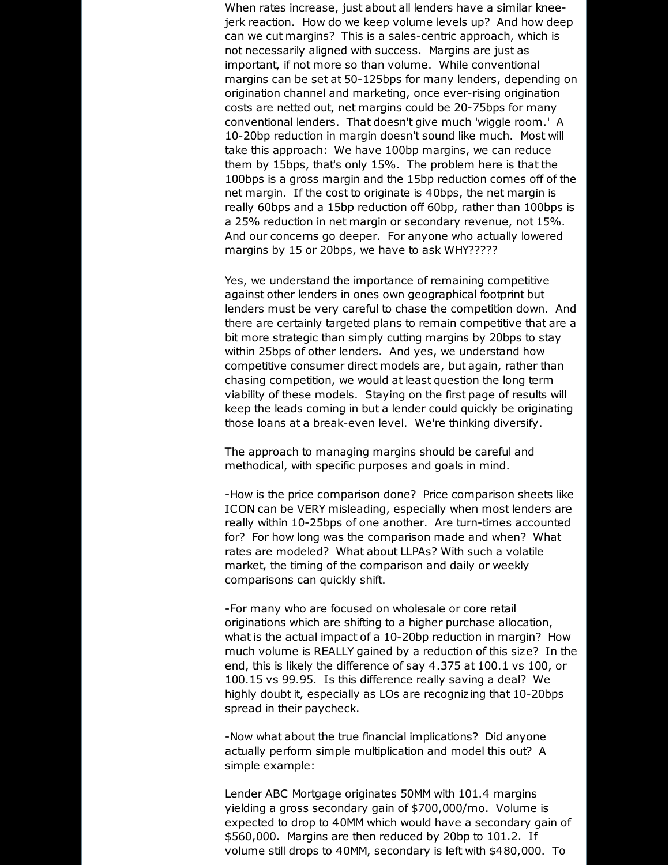When rates increase, just about all lenders have a similar kneejerk reaction. How do we keep volume levels up? And how deep can we cut margins? This is a sales-centric approach, which is not necessarily aligned with success. Margins are just as important, if not more so than volume. While conventional margins can be set at 50-125bps for many lenders, depending on origination channel and marketing, once ever-rising origination costs are netted out, net margins could be 20-75bps for many conventional lenders. That doesn't give much 'wiggle room.' A 10-20bp reduction in margin doesn't sound like much. Most will take this approach: We have 100bp margins, we can reduce them by 15bps, that's only 15%. The problem here is that the 100bps is a gross margin and the 15bp reduction comes off of the net margin. If the cost to originate is 40bps, the net margin is really 60bps and a 15bp reduction off 60bp, rather than 100bps is a 25% reduction in net margin or secondary revenue, not 15%. And our concerns go deeper. For anyone who actually lowered margins by 15 or 20bps, we have to ask WHY?????

Yes, we understand the importance of remaining competitive against other lenders in ones own geographical footprint but lenders must be very careful to chase the competition down. And there are certainly targeted plans to remain competitive that are a bit more strategic than simply cutting margins by 20bps to stay within 25bps of other lenders. And yes, we understand how competitive consumer direct models are, but again, rather than chasing competition, we would at least question the long term viability of these models. Staying on the first page of results will keep the leads coming in but a lender could quickly be originating those loans at a break-even level. We're thinking diversify.

The approach to managing margins should be careful and methodical, with specific purposes and goals in mind.

-How is the price comparison done? Price comparison sheets like ICON can be VERY misleading, especially when most lenders are really within 10-25bps of one another. Are turn-times accounted for? For how long was the comparison made and when? What rates are modeled? What about LLPAs? With such a volatile market, the timing of the comparison and daily or weekly comparisons can quickly shift.

-For many who are focused on wholesale or core retail originations which are shifting to a higher purchase allocation, what is the actual impact of a 10-20bp reduction in margin? How much volume is REALLY gained by a reduction of this size? In the end, this is likely the difference of say 4.375 at 100.1 vs 100, or 100.15 vs 99.95. Is this difference really saving a deal? We highly doubt it, especially as LOs are recognizing that 10-20bps spread in their paycheck.

-Now what about the true financial implications? Did anyone actually perform simple multiplication and model this out? A simple example:

Lender ABC Mortgage originates 50MM with 101.4 margins yielding a gross secondary gain of \$700,000/mo. Volume is expected to drop to 40MM which would have a secondary gain of \$560,000. Margins are then reduced by 20bp to 101.2. If volume still drops to 40MM, secondary is left with \$480,000. To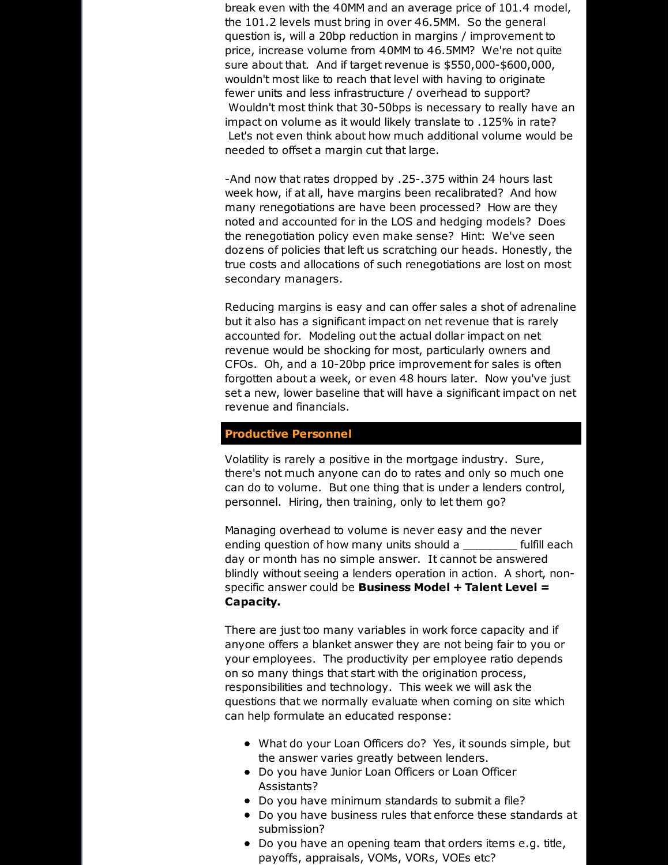break even with the 40MM and an average price of 101.4 model, the 101.2 levels must bring in over 46.5MM. So the general question is, will a 20bp reduction in margins / improvement to price, increase volume from 40MM to 46.5MM? We're not quite sure about that. And if target revenue is \$550,000-\$600,000, wouldn't most like to reach that level with having to originate fewer units and less infrastructure / overhead to support? Wouldn't most think that 30-50bps is necessary to really have an impact on volume as it would likely translate to .125% in rate? Let's not even think about how much additional volume would be needed to offset a margin cut that large.

-And now that rates dropped by .25-.375 within 24 hours last week how, if at all, have margins been recalibrated? And how many renegotiations are have been processed? How are they noted and accounted for in the LOS and hedging models? Does the renegotiation policy even make sense? Hint: We've seen dozens of policies that left us scratching our heads. Honestly, the true costs and allocations of such renegotiations are lost on most secondary managers.

Reducing margins is easy and can offer sales a shot of adrenaline but it also has a significant impact on net revenue that is rarely accounted for. Modeling out the actual dollar impact on net revenue would be shocking for most, particularly owners and CFOs. Oh, and a 10-20bp price improvement for sales is often forgotten about a week, or even 48 hours later. Now you've just set a new, lower baseline that will have a significant impact on net revenue and financials.

#### **Productive Personnel**

Volatility is rarely a positive in the mortgage industry. Sure, there's not much anyone can do to rates and only so much one can do to volume. But one thing that is under a lenders control, personnel. Hiring, then training, only to let them go?

Managing overhead to volume is never easy and the never ending question of how many units should a \_\_\_\_\_\_\_\_ fulfill each day or month has no simple answer. It cannot be answered blindly without seeing a lenders operation in action. A short, nonspecific answer could be **Business Model + Talent Level = Capacity.**

There are just too many variables in work force capacity and if anyone offers a blanket answer they are not being fair to you or your employees. The productivity per employee ratio depends on so many things that start with the origination process, responsibilities and technology. This week we will ask the questions that we normally evaluate when coming on site which can help formulate an educated response:

- What do your Loan Officers do? Yes, it sounds simple, but the answer varies greatly between lenders.
- Do you have Junior Loan Officers or Loan Officer Assistants?
- Do you have minimum standards to submit a file?
- Do you have business rules that enforce these standards at submission?
- Do you have an opening team that orders items e.g. title, payoffs, appraisals, VOMs, VORs, VOEs etc?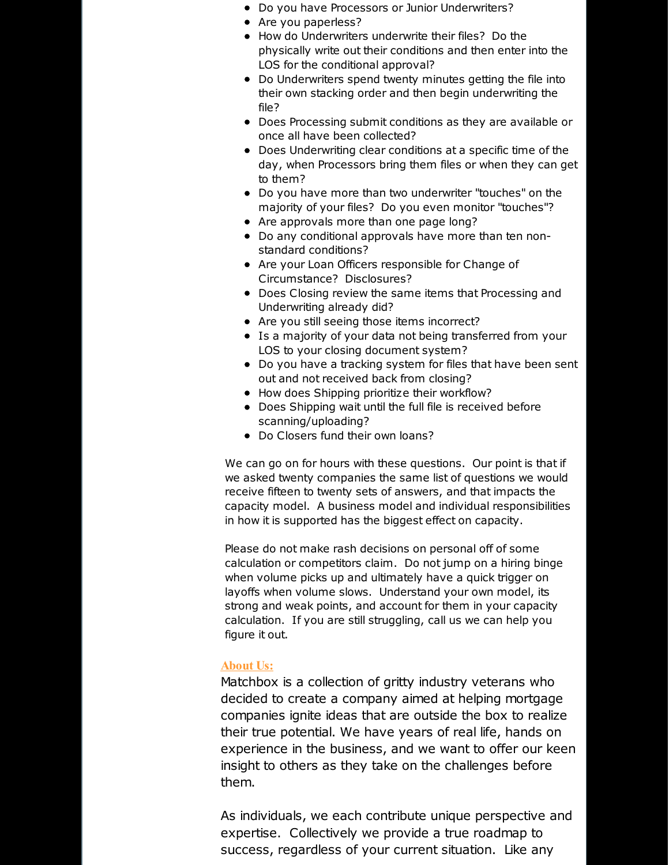- Do you have Processors or Junior Underwriters?
- Are you paperless?
- How do Underwriters underwrite their files? Do the physically write out their conditions and then enter into the LOS for the conditional approval?
- Do Underwriters spend twenty minutes getting the file into their own stacking order and then begin underwriting the file?
- Does Processing submit conditions as they are available or once all have been collected?
- Does Underwriting clear conditions at a specific time of the day, when Processors bring them files or when they can get to them?
- Do you have more than two underwriter "touches" on the majority of your files? Do you even monitor "touches"?
- Are approvals more than one page long?
- Do any conditional approvals have more than ten nonstandard conditions?
- Are your Loan Officers responsible for Change of Circumstance? Disclosures?
- Does Closing review the same items that Processing and Underwriting already did?
- Are you still seeing those items incorrect?
- Is a majority of your data not being transferred from your LOS to your closing document system?
- Do you have a tracking system for files that have been sent out and not received back from closing?
- How does Shipping prioritize their workflow?
- Does Shipping wait until the full file is received before scanning/uploading?
- Do Closers fund their own loans?

We can go on for hours with these questions. Our point is that if we asked twenty companies the same list of questions we would receive fifteen to twenty sets of answers, and that impacts the capacity model. A business model and individual responsibilities in how it is supported has the biggest effect on capacity.

Please do not make rash decisions on personal off of some calculation or competitors claim. Do not jump on a hiring binge when volume picks up and ultimately have a quick trigger on layoffs when volume slows. Understand your own model, its strong and weak points, and account for them in your capacity calculation. If you are still struggling, call us we can help you figure it out.

## **About Us:**

Matchbox is a collection of gritty industry veterans who decided to create a company aimed at helping mortgage companies ignite ideas that are outside the box to realize their true potential. We have years of real life, hands on experience in the business, and we want to offer our keen insight to others as they take on the challenges before them.

As individuals, we each contribute unique perspective and expertise. Collectively we provide a true roadmap to success, regardless of your current situation. Like any